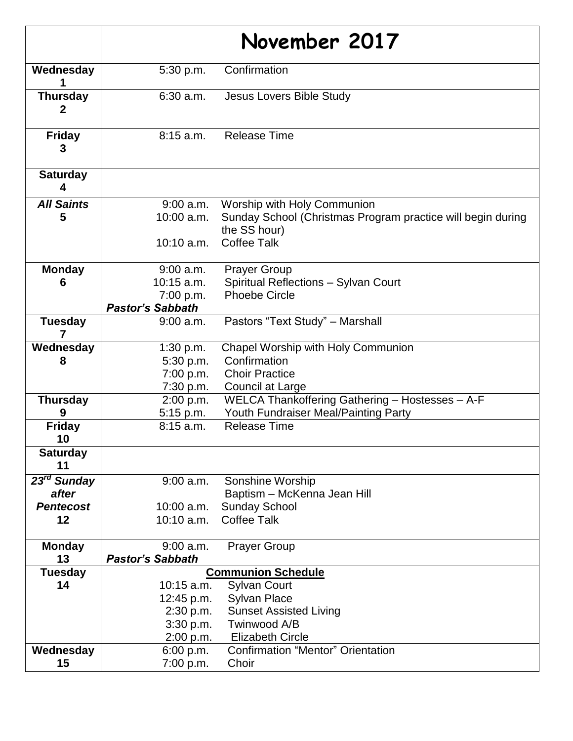|                             |                         | November 2017                                                               |
|-----------------------------|-------------------------|-----------------------------------------------------------------------------|
| Wednesday                   | 5:30 p.m.               | Confirmation                                                                |
| <b>Thursday</b><br>2        | $6:30$ a.m.             | Jesus Lovers Bible Study                                                    |
| <b>Friday</b><br>3          | $8:15$ a.m.             | <b>Release Time</b>                                                         |
| <b>Saturday</b><br>4        |                         |                                                                             |
| <b>All Saints</b>           | $9:00$ a.m.             | Worship with Holy Communion                                                 |
| 5                           | 10:00 a.m.              | Sunday School (Christmas Program practice will begin during<br>the SS hour) |
|                             | $10:10$ a.m.            | <b>Coffee Talk</b>                                                          |
| <b>Monday</b>               | 9:00 a.m.               | <b>Prayer Group</b>                                                         |
| 6                           | $10:15$ a.m.            | Spiritual Reflections - Sylvan Court                                        |
|                             | 7:00 p.m.               | <b>Phoebe Circle</b>                                                        |
|                             | <b>Pastor's Sabbath</b> |                                                                             |
| <b>Tuesday</b>              | 9:00 a.m.               | Pastors "Text Study" - Marshall                                             |
| Wednesday                   | 1:30 p.m.               | Chapel Worship with Holy Communion                                          |
| 8                           | 5:30 p.m.               | Confirmation                                                                |
|                             | 7:00 p.m.               | <b>Choir Practice</b>                                                       |
|                             | 7:30 p.m.               | Council at Large                                                            |
| <b>Thursday</b>             | 2:00 p.m.               | WELCA Thankoffering Gathering - Hostesses - A-F                             |
| 9                           | 5:15 p.m.               | Youth Fundraiser Meal/Painting Party                                        |
| <b>Friday</b><br>10         | $8:15$ a.m.             | <b>Release Time</b>                                                         |
| <b>Saturday</b><br>11       |                         |                                                                             |
| $\overline{23^{rd}}$ Sunday | 9:00 a.m.               | Sonshine Worship                                                            |
| after                       |                         | Baptism - McKenna Jean Hill                                                 |
| <b>Pentecost</b>            | $10:00$ a.m.            | <b>Sunday School</b>                                                        |
| 12                          | 10:10 a.m.              | <b>Coffee Talk</b>                                                          |
| <b>Monday</b>               | $9:00$ a.m.             | <b>Prayer Group</b>                                                         |
| 13                          | <b>Pastor's Sabbath</b> |                                                                             |
| <b>Tuesday</b>              |                         | <b>Communion Schedule</b>                                                   |
| 14                          | $10:15$ a.m.            | <b>Sylvan Court</b>                                                         |
|                             | 12:45 p.m.              | <b>Sylvan Place</b>                                                         |
|                             | 2:30 p.m.               | <b>Sunset Assisted Living</b>                                               |
|                             | 3:30 p.m.               | Twinwood A/B                                                                |
|                             | 2:00 p.m.               | <b>Elizabeth Circle</b>                                                     |
| Wednesday                   | 6:00 p.m.               | <b>Confirmation "Mentor" Orientation</b>                                    |
| 15                          | 7:00 p.m.               | Choir                                                                       |